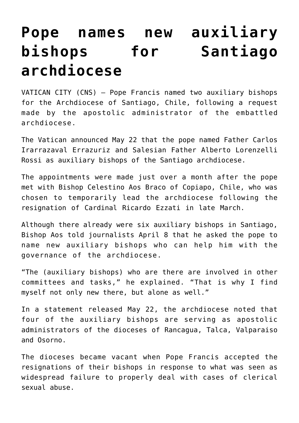## **[Pope names new auxiliary](https://www.osvnews.com/2019/05/24/pope-names-new-auxiliary-bishops-for-santiago-archdiocese/) [bishops for Santiago](https://www.osvnews.com/2019/05/24/pope-names-new-auxiliary-bishops-for-santiago-archdiocese/) [archdiocese](https://www.osvnews.com/2019/05/24/pope-names-new-auxiliary-bishops-for-santiago-archdiocese/)**

VATICAN CITY (CNS) — Pope Francis named two auxiliary bishops for the Archdiocese of Santiago, Chile, following a request made by the apostolic administrator of the embattled archdiocese.

The Vatican announced May 22 that the pope named Father Carlos Irarrazaval Errazuriz and Salesian Father Alberto Lorenzelli Rossi as auxiliary bishops of the Santiago archdiocese.

The appointments were made just over a month after the pope met with Bishop Celestino Aos Braco of Copiapo, Chile, who was chosen to temporarily lead the archdiocese following the resignation of Cardinal Ricardo Ezzati in late March.

Although there already were six auxiliary bishops in Santiago, Bishop Aos told journalists April 8 that he asked the pope to name new auxiliary bishops who can help him with the governance of the archdiocese.

"The (auxiliary bishops) who are there are involved in other committees and tasks," he explained. "That is why I find myself not only new there, but alone as well."

In a statement released May 22, the archdiocese noted that four of the auxiliary bishops are serving as apostolic administrators of the dioceses of Rancagua, Talca, Valparaiso and Osorno.

The dioceses became vacant when Pope Francis accepted the resignations of their bishops in response to what was seen as widespread failure to properly deal with cases of clerical sexual abuse.